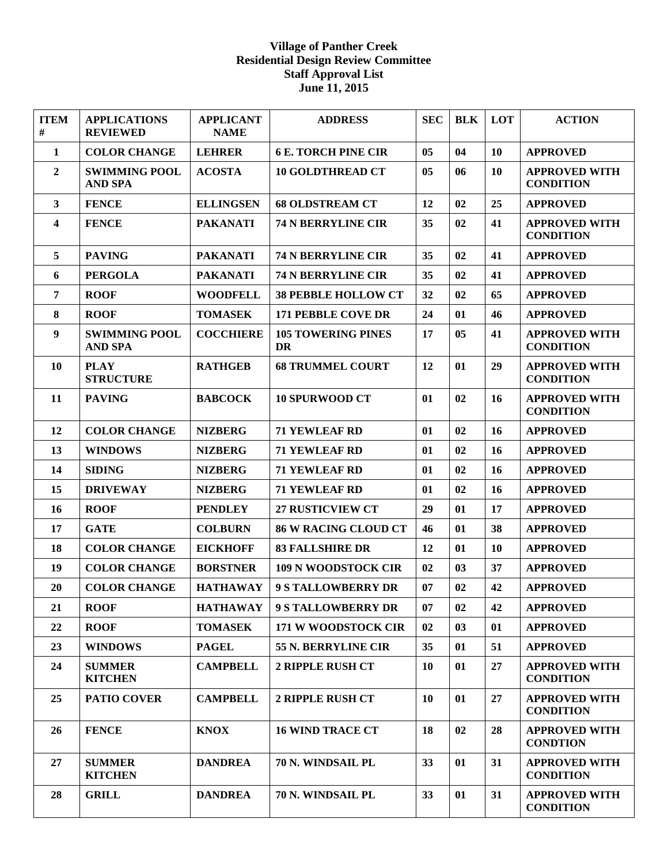## **Village of Panther Creek Residential Design Review Committee Staff Approval List June 11, 2015**

| <b>ITEM</b><br>#        | <b>APPLICATIONS</b><br><b>REVIEWED</b> | <b>APPLICANT</b><br><b>NAME</b> | <b>ADDRESS</b>                  | <b>SEC</b> | <b>BLK</b> | LOT | <b>ACTION</b>                            |
|-------------------------|----------------------------------------|---------------------------------|---------------------------------|------------|------------|-----|------------------------------------------|
| 1                       | <b>COLOR CHANGE</b>                    | <b>LEHRER</b>                   | <b>6 E. TORCH PINE CIR</b>      | 05         | 04         | 10  | <b>APPROVED</b>                          |
| $\overline{2}$          | <b>SWIMMING POOL</b><br><b>AND SPA</b> | <b>ACOSTA</b>                   | <b>10 GOLDTHREAD CT</b>         | 05         | 06         | 10  | <b>APPROVED WITH</b><br><b>CONDITION</b> |
| $\mathbf{3}$            | <b>FENCE</b>                           | <b>ELLINGSEN</b>                | <b>68 OLDSTREAM CT</b>          | 12         | 02         | 25  | <b>APPROVED</b>                          |
| $\overline{\mathbf{4}}$ | <b>FENCE</b>                           | <b>PAKANATI</b>                 | <b>74 N BERRYLINE CIR</b>       | 35         | 02         | 41  | <b>APPROVED WITH</b><br><b>CONDITION</b> |
| 5                       | <b>PAVING</b>                          | <b>PAKANATI</b>                 | <b>74 N BERRYLINE CIR</b>       | 35         | 02         | 41  | <b>APPROVED</b>                          |
| 6                       | <b>PERGOLA</b>                         | <b>PAKANATI</b>                 | <b>74 N BERRYLINE CIR</b>       | 35         | 02         | 41  | <b>APPROVED</b>                          |
| 7                       | <b>ROOF</b>                            | <b>WOODFELL</b>                 | <b>38 PEBBLE HOLLOW CT</b>      | 32         | 02         | 65  | <b>APPROVED</b>                          |
| 8                       | <b>ROOF</b>                            | <b>TOMASEK</b>                  | <b>171 PEBBLE COVE DR</b>       | 24         | 01         | 46  | <b>APPROVED</b>                          |
| 9                       | <b>SWIMMING POOL</b><br><b>AND SPA</b> | <b>COCCHIERE</b>                | <b>105 TOWERING PINES</b><br>DR | 17         | 05         | 41  | <b>APPROVED WITH</b><br><b>CONDITION</b> |
| <b>10</b>               | <b>PLAY</b><br><b>STRUCTURE</b>        | <b>RATHGEB</b>                  | <b>68 TRUMMEL COURT</b>         | 12         | 01         | 29  | <b>APPROVED WITH</b><br><b>CONDITION</b> |
| 11                      | <b>PAVING</b>                          | <b>BABCOCK</b>                  | <b>10 SPURWOOD CT</b>           | 01         | 02         | 16  | <b>APPROVED WITH</b><br><b>CONDITION</b> |
| 12                      | <b>COLOR CHANGE</b>                    | <b>NIZBERG</b>                  | <b>71 YEWLEAF RD</b>            | 01         | 02         | 16  | <b>APPROVED</b>                          |
| 13                      | <b>WINDOWS</b>                         | <b>NIZBERG</b>                  | <b>71 YEWLEAF RD</b>            | 01         | 02         | 16  | <b>APPROVED</b>                          |
| 14                      | <b>SIDING</b>                          | <b>NIZBERG</b>                  | <b>71 YEWLEAF RD</b>            | 01         | 02         | 16  | <b>APPROVED</b>                          |
| 15                      | <b>DRIVEWAY</b>                        | <b>NIZBERG</b>                  | <b>71 YEWLEAF RD</b>            | 01         | 02         | 16  | <b>APPROVED</b>                          |
| 16                      | <b>ROOF</b>                            | <b>PENDLEY</b>                  | <b>27 RUSTICVIEW CT</b>         | 29         | 01         | 17  | <b>APPROVED</b>                          |
| 17                      | <b>GATE</b>                            | <b>COLBURN</b>                  | <b>86 W RACING CLOUD CT</b>     | 46         | 01         | 38  | <b>APPROVED</b>                          |
| 18                      | <b>COLOR CHANGE</b>                    | <b>EICKHOFF</b>                 | <b>83 FALLSHIRE DR</b>          | 12         | 01         | 10  | <b>APPROVED</b>                          |
| 19                      | <b>COLOR CHANGE</b>                    | <b>BORSTNER</b>                 | <b>109 N WOODSTOCK CIR</b>      | 02         | 03         | 37  | <b>APPROVED</b>                          |
| 20                      | <b>COLOR CHANGE</b>                    | <b>HATHAWAY</b>                 | <b>9 S TALLOWBERRY DR</b>       | 07         | 02         | 42  | <b>APPROVED</b>                          |
| 21                      | <b>ROOF</b>                            | <b>HATHAWAY</b>                 | <b>9 S TALLOWBERRY DR</b>       | 07         | 02         | 42  | <b>APPROVED</b>                          |
| 22                      | <b>ROOF</b>                            | <b>TOMASEK</b>                  | 171 W WOODSTOCK CIR             | 02         | 03         | 01  | <b>APPROVED</b>                          |
| 23                      | <b>WINDOWS</b>                         | <b>PAGEL</b>                    | 55 N. BERRYLINE CIR             | 35         | 01         | 51  | <b>APPROVED</b>                          |
| 24                      | <b>SUMMER</b><br><b>KITCHEN</b>        | <b>CAMPBELL</b>                 | <b>2 RIPPLE RUSH CT</b>         | 10         | 01         | 27  | <b>APPROVED WITH</b><br><b>CONDITION</b> |
| 25                      | <b>PATIO COVER</b>                     | <b>CAMPBELL</b>                 | 2 RIPPLE RUSH CT                | 10         | 01         | 27  | <b>APPROVED WITH</b><br><b>CONDITION</b> |
| 26                      | <b>FENCE</b>                           | <b>KNOX</b>                     | <b>16 WIND TRACE CT</b>         | 18         | 02         | 28  | <b>APPROVED WITH</b><br><b>CONDTION</b>  |
| 27                      | <b>SUMMER</b><br><b>KITCHEN</b>        | <b>DANDREA</b>                  | 70 N. WINDSAIL PL               | 33         | 01         | 31  | <b>APPROVED WITH</b><br><b>CONDITION</b> |
| 28                      | <b>GRILL</b>                           | <b>DANDREA</b>                  | 70 N. WINDSAIL PL               | 33         | 01         | 31  | <b>APPROVED WITH</b><br><b>CONDITION</b> |